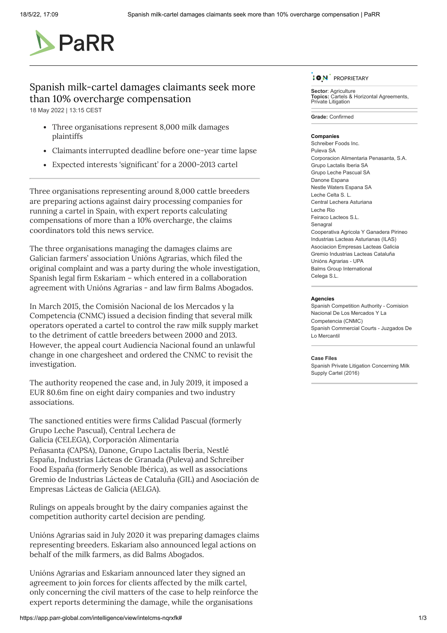

# Spanish milk-cartel damages claimants seek more than 10% overcharge compensation

18 May 2022 | 13:15 CEST

- Three organisations represent 8,000 milk damages plaintiffs
- Claimants interrupted deadline before one-year time lapse
- Expected interests 'significant' for a 2000-2013 cartel

Three organisations representing around 8,000 cattle breeders are preparing actions against dairy processing companies for running a cartel in Spain, with expert reports calculating compensations of more than a 10% overcharge, the claims coordinators told this news service*.*

The three organisations managing the damages claims are Galician farmers' association Unións Agrarias, which filed the original complaint and was a party during the whole investigation, Spanish legal firm Eskariam – which entered in a collaboration agreement with Unións Agrarias - and law firm Balms Abogados.

In March 2015, the Comisión Nacional de los Mercados y la Competencia (CNMC) [issued](https://app.parr-global.com/intelligence/view/1226476) a decision finding that several milk operators operated a cartel to control the raw milk supply market to the detriment of cattle breeders between 2000 and 2013. However, the appeal court Audiencia Nacional [found](https://app.parr-global.com/intelligence/view/1757271) an unlawful change in one chargesheet and ordered the CNMC to revisit the investigation.

The authority reopened the case and, in July 2019, it [imposed](https://app.parr-global.com/intelligence/view/1856128) a EUR 80.6m fine on eight dairy companies and two industry associations.

The sanctioned entities were firms Calidad Pascual (formerly Grupo Leche Pascual), Central Lechera de Galicia (CELEGA), Corporación Alimentaria Peñasanta (CAPSA), Danone, Grupo Lactalis Iberia, Nestlé España, Industrias Lácteas de Granada (Puleva) and Schreiber Food España (formerly Senoble Ibérica), as well as associations Gremio de Industrias Lácteas de Cataluña (GIL) and Asociación de Empresas Lácteas de Galicia (AELGA).

Rulings on appeals brought by the dairy companies against the competition authority cartel decision are pending.

Unións Agrarias [said](https://app.parr-global.com/intelligence/view/1989689) in July 2020 it was preparing damages claims representing breeders. Eskariam also announced legal actions on behalf of the milk farmers, as [did](https://app.parr-global.com/intelligence/view/intelcms-pwnvdg) Balms Abogados.

Unións Agrarias and Eskariam [announced](https://app.parr-global.com/intelligence/view/2044497) later they signed an agreement to join forces for clients affected by the milk cartel, only concerning the civil matters of the case to help reinforce the expert reports determining the damage, while the organisations



**Sector: [Agriculture](https://app.parr-global.com/?filters=subSector:prime-agriculture) Topics:** Cartels & Horizontal [Agreements,](https://app.parr-global.com/?filters=topic:prime-mm_topic_PaRR-cartelinvestigations) Private [Litigation](https://app.parr-global.com/?filters=topic:prime-mm_topic_PaRR-privateLitigation)

**Grade:** Confirmed

### **Companies**

[Schreiber](https://app.parr-global.com/companies/view/68232) Foods Inc. [Puleva](https://app.parr-global.com/companies/view/83009) SA [Corporacion](https://app.parr-global.com/companies/view/83011) Alimentaria Penasanta, S.A. Grupo [Lactalis](https://app.parr-global.com/companies/view/83012) Iberia SA Grupo Leche [Pascual](https://app.parr-global.com/companies/view/126118) SA [Danone](https://app.parr-global.com/companies/view/778671) Espana Nestle Waters [Espana](https://app.parr-global.com/companies/view/1084027) SA [Leche](https://app.parr-global.com/companies/view/1084028) Celta S. L. Central Lechera [Asturiana](https://app.parr-global.com/companies/view/1084029) [Leche](https://app.parr-global.com/companies/view/1084030) Rio Feiraco [Lacteos](https://app.parr-global.com/companies/view/1084031) S.L. [Senagral](https://app.parr-global.com/companies/view/1084032) [Cooperativa](https://app.parr-global.com/companies/view/1084037) Agricola Y Ganadera Pirineo Industrias Lacteas [Asturianas](https://app.parr-global.com/companies/view/1084042) (ILAS) [Asociacion](https://app.parr-global.com/companies/view/1084043) Empresas Lacteas Galicia Gremio [Industrias](https://app.parr-global.com/companies/view/1084046) Lacteas Cataluña Unións [Agrarias](https://app.parr-global.com/companies/view/1972823) - UPA Balms Group [International](https://app.parr-global.com/companies/view/2056424) [Celega](https://app.parr-global.com/companies/view/2115703) S.L.

#### **Agencies**

Spanish Competition Authority - Comision Nacional De Los Mercados Y La [Competencia](https://app.parr-global.com/agencies/view/823476) (CNMC) Spanish [Commercial](https://app.parr-global.com/agencies/view/1404564) Courts - Juzgados De Lo Mercantil

#### **Case Files**

Spanish Private Litigation [Concerning](https://app.parr-global.com/cases/view/1404038) Milk Supply Cartel (2016)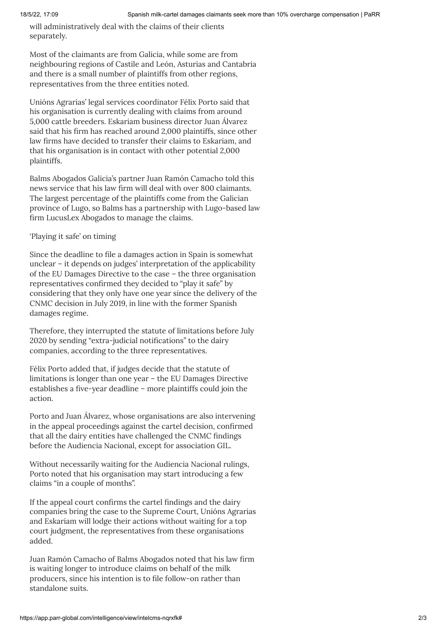will administratively deal with the claims of their clients separately.

Most of the claimants are from Galicia, while some are from neighbouring regions of Castile and León, Asturias and Cantabria and there is a small number of plaintiffs from other regions, representatives from the three entities noted.

Unións Agrarias' legal services coordinator Félix Porto said that his organisation is currently dealing with claims from around 5,000 cattle breeders. Eskariam business director Juan Álvarez said that his firm has reached around 2,000 plaintiffs, since other law firms have decided to transfer their claims to Eskariam, and that his organisation is in contact with other potential 2,000 plaintiffs.

Balms Abogados Galicia's partner Juan Ramón Camacho told this news service that his law firm will deal with over 800 claimants. The largest percentage of the plaintiffs come from the Galician province of Lugo, so Balms has a partnership with Lugo-based law firm LucusLex Abogados to manage the claims.

## 'Playing it safe' on timing

Since the deadline to file a damages action in Spain is somewhat unclear – it depends on judges' interpretation of the applicability of the EU Damages Directive to the case – the three organisation representatives confirmed they decided to "play it safe" by considering that they only have one year since the delivery of the CNMC decision in July 2019, in line with the former Spanish damages regime.

Therefore, they interrupted the statute of limitations before July 2020 by sending "extra-judicial notifications" to the dairy companies, according to the three representatives.

Félix Porto added that, if judges decide that the statute of limitations is longer than one year – the EU Damages Directive establishes a five-year deadline – more plaintiffs could join the action.

Porto and Juan Álvarez, whose organisations are also intervening in the appeal proceedings against the cartel decision, confirmed that all the dairy entities have [challenged](https://app.parr-global.com/intelligence/view/1856838) the CNMC findings before the Audiencia Nacional, except for association GIL.

Without necessarily waiting for the Audiencia Nacional rulings, Porto noted that his organisation may start introducing a few claims "in a couple of months".

If the appeal court confirms the cartel findings and the dairy companies bring the case to the Supreme Court, Unións Agrarias and Eskariam will lodge their actions without waiting for a top court judgment, the representatives from these organisations added.

Juan Ramón Camacho of Balms Abogados noted that his law firm is waiting longer to introduce claims on behalf of the milk producers, since his intention is to file follow-on rather than standalone suits.